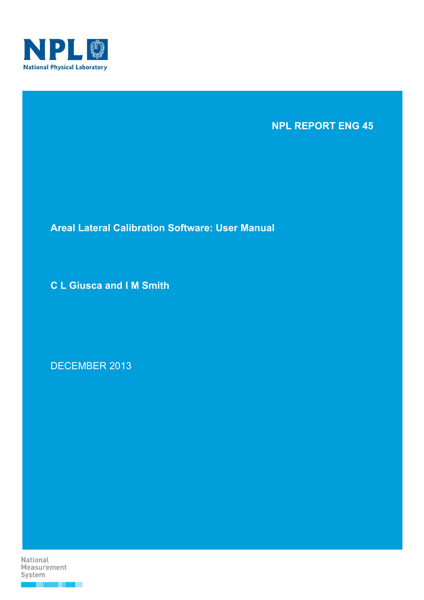

# **NPL REPORT ENG 45**

**Areal Lateral Calibration Software: User Manual**

**C L Giusca and I M Smith**

DECEMBER 2013

National Measurement System ---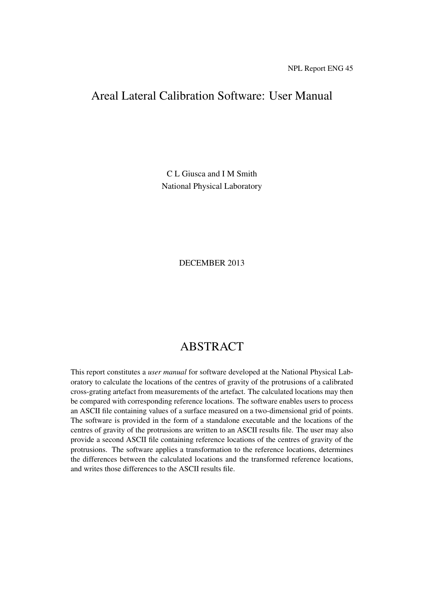# Areal Lateral Calibration Software: User Manual

C L Giusca and I M Smith National Physical Laboratory

DECEMBER 2013

# ABSTRACT

This report constitutes a *user manual* for software developed at the National Physical Laboratory to calculate the locations of the centres of gravity of the protrusions of a calibrated cross-grating artefact from measurements of the artefact. The calculated locations may then be compared with corresponding reference locations. The software enables users to process an ASCII file containing values of a surface measured on a two-dimensional grid of points. The software is provided in the form of a standalone executable and the locations of the centres of gravity of the protrusions are written to an ASCII results file. The user may also provide a second ASCII file containing reference locations of the centres of gravity of the protrusions. The software applies a transformation to the reference locations, determines the differences between the calculated locations and the transformed reference locations, and writes those differences to the ASCII results file.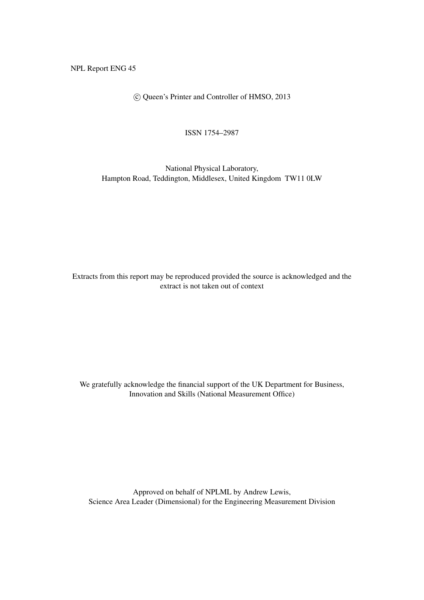NPL Report ENG 45

c Queen's Printer and Controller of HMSO, 2013

ISSN 1754–2987

National Physical Laboratory, Hampton Road, Teddington, Middlesex, United Kingdom TW11 0LW

Extracts from this report may be reproduced provided the source is acknowledged and the extract is not taken out of context

We gratefully acknowledge the financial support of the UK Department for Business, Innovation and Skills (National Measurement Office)

Approved on behalf of NPLML by Andrew Lewis, Science Area Leader (Dimensional) for the Engineering Measurement Division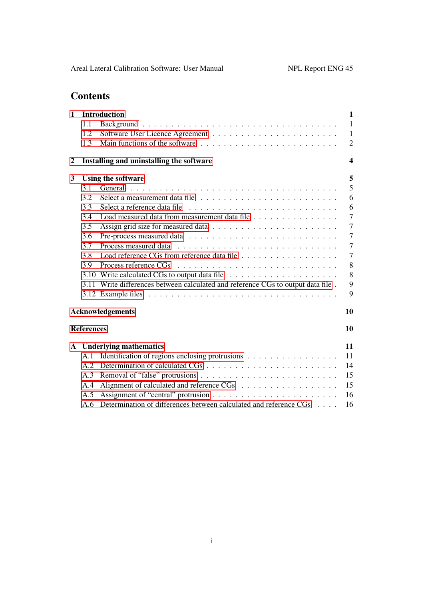# **Contents**

| 1 | <b>Introduction</b><br>1 |                                                                                                      |                  |
|---|--------------------------|------------------------------------------------------------------------------------------------------|------------------|
|   | 1.1                      |                                                                                                      | $\mathbf{1}$     |
|   | 1.2                      |                                                                                                      | $\mathbf{1}$     |
|   | 1.3                      |                                                                                                      | $\overline{2}$   |
| 2 |                          | Installing and uninstalling the software                                                             | $\boldsymbol{4}$ |
| 3 |                          | Using the software                                                                                   | 5                |
|   | 3.1                      |                                                                                                      | 5                |
|   | 3.2                      |                                                                                                      | 6                |
|   | 3.3                      | Select a reference data file $\ldots \ldots \ldots \ldots \ldots \ldots \ldots \ldots \ldots \ldots$ | 6                |
|   | 3.4                      | Load measured data from measurement data file                                                        | $\overline{7}$   |
|   | 3.5                      |                                                                                                      | $\overline{7}$   |
|   | 3.6                      |                                                                                                      | $\tau$           |
|   | 3.7                      |                                                                                                      | $\overline{7}$   |
|   | 3.8                      |                                                                                                      | $\overline{7}$   |
|   | 3.9                      |                                                                                                      | 8                |
|   |                          |                                                                                                      | 8                |
|   |                          | 3.11 Write differences between calculated and reference CGs to output data file.                     | 9                |
|   |                          |                                                                                                      | 9                |
|   |                          | <b>Acknowledgements</b>                                                                              | 10               |
|   | <b>References</b>        |                                                                                                      | 10               |
|   | A Underlying mathematics |                                                                                                      | 11               |
|   | A.1                      | Identification of regions enclosing protrusions                                                      | 11               |
|   | A.2                      |                                                                                                      | 14               |
|   | A.3                      |                                                                                                      | 15               |
|   | A.4                      |                                                                                                      | 15               |
|   | A.5                      |                                                                                                      | 16               |
|   | A.6                      | Determination of differences between calculated and reference CGs                                    | 16               |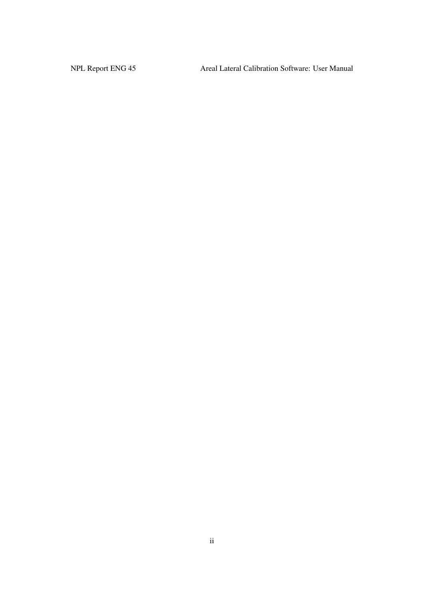NPL Report ENG 45 Areal Lateral Calibration Software: User Manual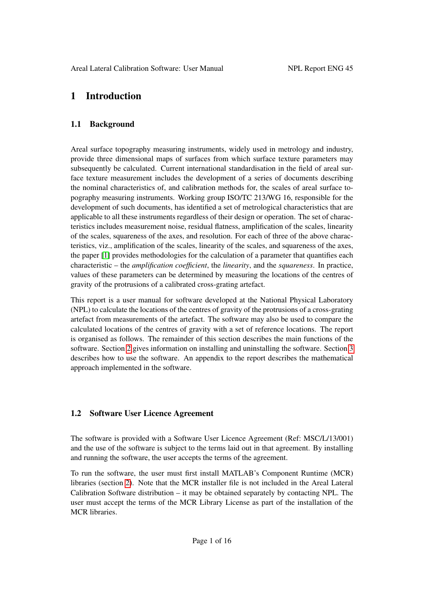# <span id="page-6-0"></span>1 Introduction

#### <span id="page-6-1"></span>1.1 Background

Areal surface topography measuring instruments, widely used in metrology and industry, provide three dimensional maps of surfaces from which surface texture parameters may subsequently be calculated. Current international standardisation in the field of areal surface texture measurement includes the development of a series of documents describing the nominal characteristics of, and calibration methods for, the scales of areal surface topography measuring instruments. Working group ISO/TC 213/WG 16, responsible for the development of such documents, has identified a set of metrological characteristics that are applicable to all these instruments regardless of their design or operation. The set of characteristics includes measurement noise, residual flatness, amplification of the scales, linearity of the scales, squareness of the axes, and resolution. For each of three of the above characteristics, viz., amplification of the scales, linearity of the scales, and squareness of the axes, the paper [\[1\]](#page-15-2) provides methodologies for the calculation of a parameter that quantifies each characteristic – the *amplification coefficient*, the *linearity*, and the *squareness*. In practice, values of these parameters can be determined by measuring the locations of the centres of gravity of the protrusions of a calibrated cross-grating artefact.

This report is a user manual for software developed at the National Physical Laboratory (NPL) to calculate the locations of the centres of gravity of the protrusions of a cross-grating artefact from measurements of the artefact. The software may also be used to compare the calculated locations of the centres of gravity with a set of reference locations. The report is organised as follows. The remainder of this section describes the main functions of the software. Section [2](#page-9-0) gives information on installing and uninstalling the software. Section [3](#page-10-0) describes how to use the software. An appendix to the report describes the mathematical approach implemented in the software.

### <span id="page-6-2"></span>1.2 Software User Licence Agreement

The software is provided with a Software User Licence Agreement (Ref: MSC/L/13/001) and the use of the software is subject to the terms laid out in that agreement. By installing and running the software, the user accepts the terms of the agreement.

To run the software, the user must first install MATLAB's Component Runtime (MCR) libraries (section [2\)](#page-9-0). Note that the MCR installer file is not included in the Areal Lateral Calibration Software distribution  $-$  it may be obtained separately by contacting NPL. The user must accept the terms of the MCR Library License as part of the installation of the MCR libraries.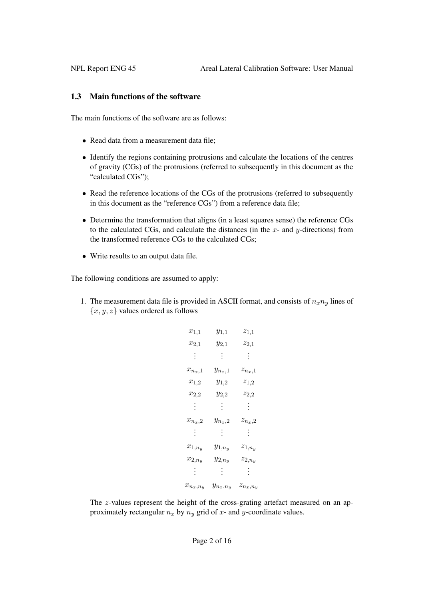#### <span id="page-7-0"></span>1.3 Main functions of the software

The main functions of the software are as follows:

- Read data from a measurement data file;
- Identify the regions containing protrusions and calculate the locations of the centres of gravity (CGs) of the protrusions (referred to subsequently in this document as the "calculated CGs");
- Read the reference locations of the CGs of the protrusions (referred to subsequently in this document as the "reference CGs") from a reference data file;
- Determine the transformation that aligns (in a least squares sense) the reference CGs to the calculated CGs, and calculate the distances (in the  $x$ - and  $y$ -directions) from the transformed reference CGs to the calculated CGs;
- Write results to an output data file.

The following conditions are assumed to apply:

1. The measurement data file is provided in ASCII format, and consists of  $n_x n_y$  lines of  ${x, y, z}$  values ordered as follows

$$
x_{1,1} \t y_{1,1} \t z_{1,1} \n x_{2,1} \t y_{2,1} \t z_{2,1} \n \vdots \t \vdots \t \vdots \n x_{n_x,1} \t y_{n_x,1} \t z_{n_x,1} \n x_{1,2} \t y_{1,2} \t z_{1,2} \n x_{2,2} \t y_{2,2} \t z_{2,2} \n \vdots \t \vdots \t \vdots \n x_{n_x,2} \t y_{n_x,2} \t z_{n_x,2} \n \vdots \t \vdots \t \vdots \n x_{1,n_y} \t y_{1,n_y} \t z_{1,n_y} \n x_{2,n_y} \t y_{2,n_y} \t z_{2,n_y} \n \vdots \t \vdots \t \vdots \n x_{n_x,n_y} \t y_{n_x,n_y} \t z_{n_x,n_y}
$$

The z-values represent the height of the cross-grating artefact measured on an approximately rectangular  $n_x$  by  $n_y$  grid of x- and y-coordinate values.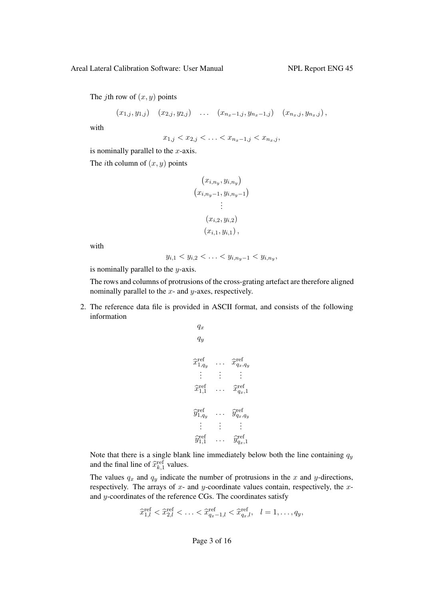The *j*th row of  $(x, y)$  points

$$
(x_{1,j}, y_{1,j})
$$
  $(x_{2,j}, y_{2,j})$  ...  $(x_{n_x-1,j}, y_{n_x-1,j})$   $(x_{n_x,j}, y_{n_x,j})$ ,

with

$$
x_{1,j} < x_{2,j} < \ldots < x_{n_x-1,j} < x_{n_x,j},
$$

is nominally parallel to the  $x$ -axis.

The *i*th column of  $(x, y)$  points

$$
(x_{i,n_y}, y_{i,n_y})
$$
  
\n
$$
(x_{i,n_y-1}, y_{i,n_y-1})
$$
  
\n
$$
\vdots
$$
  
\n
$$
(x_{i,2}, y_{i,2})
$$
  
\n
$$
(x_{i,1}, y_{i,1}),
$$

with

$$
y_{i,1} < y_{i,2} < \ldots < y_{i,n_y-1} < y_{i,n_y},
$$

is nominally parallel to the  $y$ -axis.

The rows and columns of protrusions of the cross-grating artefact are therefore aligned nominally parallel to the x- and y-axes, respectively.

2. The reference data file is provided in ASCII format, and consists of the following information

 $q_x$ 

$$
\begin{array}{ccc}\nq_y \\
q_y \\
\hat{x}_{1,q_y}^{\text{ref}} & \dots & \hat{x}_{q_x,q_y}^{\text{ref}} \\
\vdots & \vdots & \vdots \\
\hat{x}_{1,1}^{\text{ref}} & \dots & \hat{x}_{q_x,1}^{\text{ref}} \\
\hat{y}_{1,q_y}^{\text{ref}} & \dots & \hat{y}_{q_x,q_y}^{\text{ref}} \\
\vdots & \vdots & \vdots \\
\hat{y}_{1,1}^{\text{ref}} & \dots & \hat{y}_{q_x,1}^{\text{ref}} \\
\end{array}
$$

Note that there is a single blank line immediately below both the line containing  $q_y$ and the final line of  $\hat{x}_{k,1}^{\text{ref}}$  values.

The values  $q_x$  and  $q_y$  indicate the number of protrusions in the x and y-directions, respectively. The arrays of  $x$ - and  $y$ -coordinate values contain, respectively, the  $x$ and y-coordinates of the reference CGs. The coordinates satisfy

$$
\hat{x}_{1,l}^{\text{ref}} < \hat{x}_{2,l}^{\text{ref}} < \ldots < \hat{x}_{q_x-1,l}^{\text{ref}} < \hat{x}_{q_x,l}^{\text{ref}}, \quad l = 1, \ldots, q_y,
$$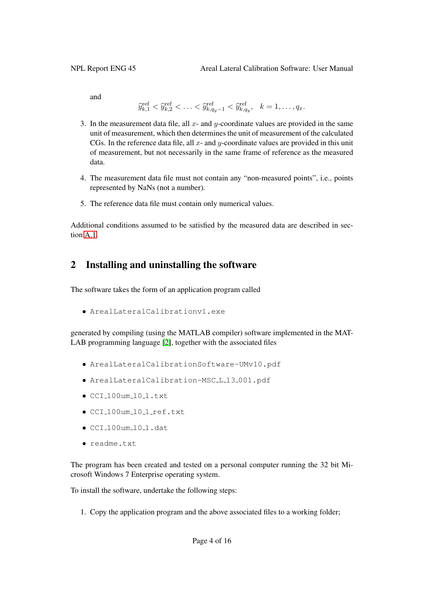and

$$
\widehat{y}_{k,1}^{\text{ref}} < \widehat{y}_{k,2}^{\text{ref}} < \ldots < \widehat{y}_{k,q_y-1}^{\text{ref}} < \widehat{y}_{k,q_y}^{\text{ref}}, \quad k = 1, \ldots, q_x.
$$

- 3. In the measurement data file, all  $x$  and  $y$ -coordinate values are provided in the same unit of measurement, which then determines the unit of measurement of the calculated CGs. In the reference data file, all  $x$ - and  $y$ -coordinate values are provided in this unit of measurement, but not necessarily in the same frame of reference as the measured data.
- 4. The measurement data file must not contain any "non-measured points", i.e., points represented by NaNs (not a number).
- 5. The reference data file must contain only numerical values.

Additional conditions assumed to be satisfied by the measured data are described in section [A.1.](#page-16-1)

## <span id="page-9-0"></span>2 Installing and uninstalling the software

The software takes the form of an application program called

• ArealLateralCalibrationv1.exe

generated by compiling (using the MATLAB compiler) software implemented in the MAT-LAB programming language [\[2\]](#page-15-3), together with the associated files

- ArealLateralCalibrationSoftware-UMv10.pdf
- ArealLateralCalibration-MSC<sub>L13</sub>001.pdf
- $\bullet$  CCI $100$ um $10.1$ .txt
- CCI 100um 10 1 ref.txt
- $\bullet$  CCI\_100um\_10\_1.dat
- readme.txt

The program has been created and tested on a personal computer running the 32 bit Microsoft Windows 7 Enterprise operating system.

To install the software, undertake the following steps:

1. Copy the application program and the above associated files to a working folder;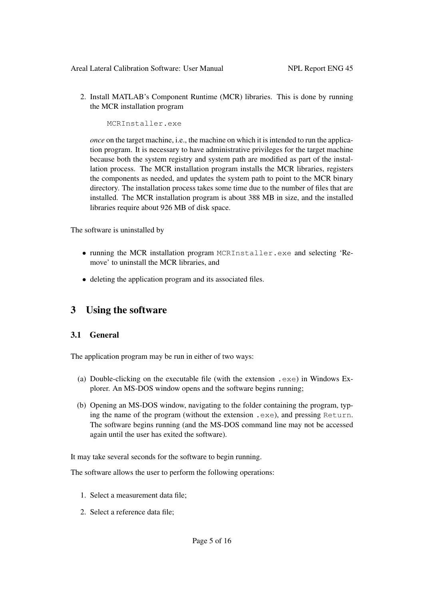2. Install MATLAB's Component Runtime (MCR) libraries. This is done by running the MCR installation program

MCRInstaller.exe

*once* on the target machine, i.e., the machine on which it is intended to run the application program. It is necessary to have administrative privileges for the target machine because both the system registry and system path are modified as part of the installation process. The MCR installation program installs the MCR libraries, registers the components as needed, and updates the system path to point to the MCR binary directory. The installation process takes some time due to the number of files that are installed. The MCR installation program is about 388 MB in size, and the installed libraries require about 926 MB of disk space.

The software is uninstalled by

- running the MCR installation program MCRInstaller.exe and selecting 'Remove' to uninstall the MCR libraries, and
- deleting the application program and its associated files.

## <span id="page-10-0"></span>3 Using the software

#### <span id="page-10-1"></span>3.1 General

The application program may be run in either of two ways:

- (a) Double-clicking on the executable file (with the extension .  $exe$ ) in Windows Explorer. An MS-DOS window opens and the software begins running;
- (b) Opening an MS-DOS window, navigating to the folder containing the program, typing the name of the program (without the extension .exe), and pressing Return. The software begins running (and the MS-DOS command line may not be accessed again until the user has exited the software).

It may take several seconds for the software to begin running.

The software allows the user to perform the following operations:

- 1. Select a measurement data file;
- 2. Select a reference data file;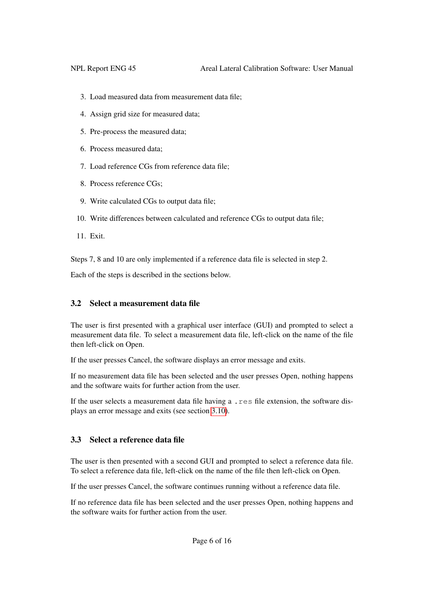- 3. Load measured data from measurement data file;
- 4. Assign grid size for measured data;
- 5. Pre-process the measured data;
- 6. Process measured data;
- 7. Load reference CGs from reference data file;
- 8. Process reference CGs;
- 9. Write calculated CGs to output data file;
- 10. Write differences between calculated and reference CGs to output data file;
- 11. Exit.

Steps 7, 8 and 10 are only implemented if a reference data file is selected in step 2.

Each of the steps is described in the sections below.

#### <span id="page-11-0"></span>3.2 Select a measurement data file

The user is first presented with a graphical user interface (GUI) and prompted to select a measurement data file. To select a measurement data file, left-click on the name of the file then left-click on Open.

If the user presses Cancel, the software displays an error message and exits.

If no measurement data file has been selected and the user presses Open, nothing happens and the software waits for further action from the user.

If the user selects a measurement data file having a  $res$  file extension, the software displays an error message and exits (see section [3.10\)](#page-13-1).

#### <span id="page-11-1"></span>3.3 Select a reference data file

The user is then presented with a second GUI and prompted to select a reference data file. To select a reference data file, left-click on the name of the file then left-click on Open.

If the user presses Cancel, the software continues running without a reference data file.

If no reference data file has been selected and the user presses Open, nothing happens and the software waits for further action from the user.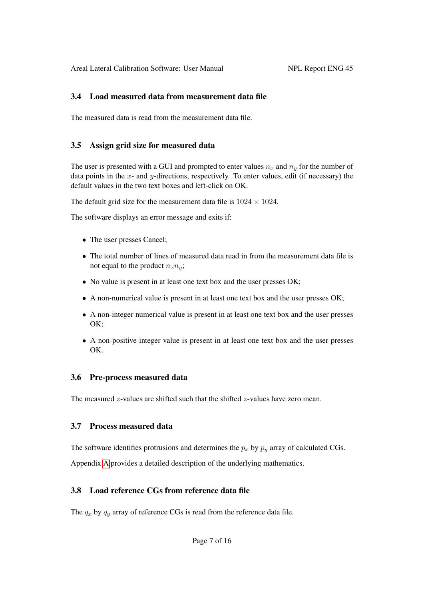#### <span id="page-12-0"></span>3.4 Load measured data from measurement data file

The measured data is read from the measurement data file.

#### <span id="page-12-1"></span>3.5 Assign grid size for measured data

The user is presented with a GUI and prompted to enter values  $n_x$  and  $n_y$  for the number of data points in the  $x$ - and  $y$ -directions, respectively. To enter values, edit (if necessary) the default values in the two text boxes and left-click on OK.

The default grid size for the measurement data file is  $1024 \times 1024$ .

The software displays an error message and exits if:

- The user presses Cancel;
- The total number of lines of measured data read in from the measurement data file is not equal to the product  $n_x n_y$ ;
- No value is present in at least one text box and the user presses OK;
- A non-numerical value is present in at least one text box and the user presses OK;
- A non-integer numerical value is present in at least one text box and the user presses OK;
- A non-positive integer value is present in at least one text box and the user presses OK.

#### <span id="page-12-2"></span>3.6 Pre-process measured data

The measured z-values are shifted such that the shifted z-values have zero mean.

#### <span id="page-12-3"></span>3.7 Process measured data

The software identifies protrusions and determines the  $p_x$  by  $p_y$  array of calculated CGs.

Appendix [A](#page-16-0) provides a detailed description of the underlying mathematics.

#### <span id="page-12-4"></span>3.8 Load reference CGs from reference data file

The  $q_x$  by  $q_y$  array of reference CGs is read from the reference data file.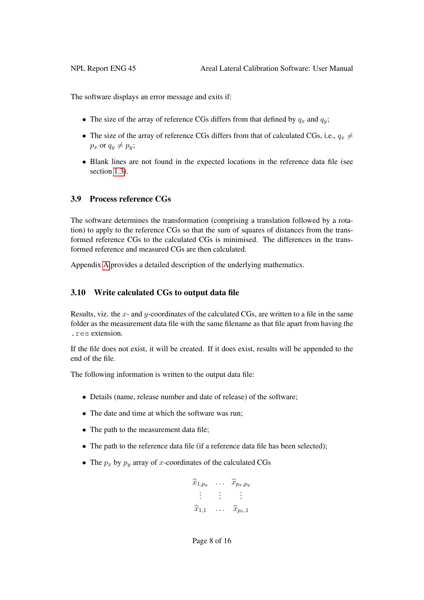The software displays an error message and exits if:

- The size of the array of reference CGs differs from that defined by  $q_x$  and  $q_y$ ;
- The size of the array of reference CGs differs from that of calculated CGs, i.e.,  $q_x \neq$  $p_x$  or  $q_y \neq p_y$ ;
- Blank lines are not found in the expected locations in the reference data file (see section [1.3\)](#page-7-0).

#### <span id="page-13-0"></span>3.9 Process reference CGs

The software determines the transformation (comprising a translation followed by a rotation) to apply to the reference CGs so that the sum of squares of distances from the transformed reference CGs to the calculated CGs is minimised. The differences in the transformed reference and measured CGs are then calculated.

Appendix [A](#page-16-0) provides a detailed description of the underlying mathematics.

#### <span id="page-13-1"></span>3.10 Write calculated CGs to output data file

Results, viz. the  $x$ - and  $y$ -coordinates of the calculated CGs, are written to a file in the same folder as the measurement data file with the same filename as that file apart from having the .res extension.

If the file does not exist, it will be created. If it does exist, results will be appended to the end of the file.

The following information is written to the output data file:

- Details (name, release number and date of release) of the software;
- The date and time at which the software was run;
- The path to the measurement data file;
- The path to the reference data file (if a reference data file has been selected);
- The  $p_x$  by  $p_y$  array of x-coordinates of the calculated CGs

 $\widehat{x}_{1,p_y} \quad \cdots \quad \widehat{x}_{p_x,p_y}$ <br> $\vdots \quad \vdots \quad \vdots$  $\widehat{x}_{1,1}$  . . .  $\widehat{x}_{p_{x},1}$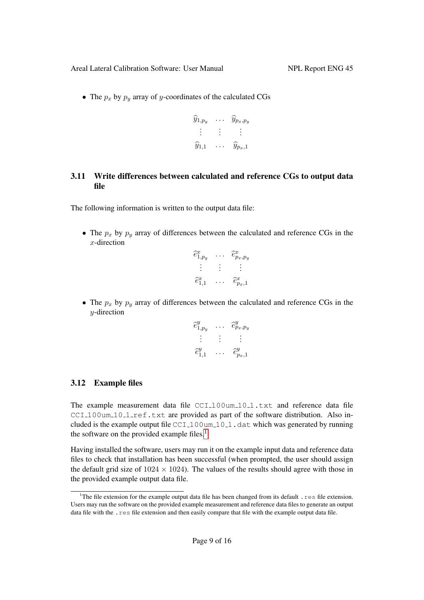• The  $p_x$  by  $p_y$  array of y-coordinates of the calculated CGs

$$
\widehat{y}_{1,p_y} \cdots \widehat{y}_{p_x,p_y} \n\vdots \qquad \vdots \qquad \vdots \n\widehat{y}_{1,1} \cdots \widehat{y}_{p_x,1}
$$

#### <span id="page-14-0"></span>3.11 Write differences between calculated and reference CGs to output data file

The following information is written to the output data file:

• The  $p_x$  by  $p_y$  array of differences between the calculated and reference CGs in the x-direction

$$
\begin{aligned}\n\widehat{e}_{1,p_y}^x & \cdots & \widehat{e}_{p_x,p_y}^x \\
\vdots & \vdots & \vdots \\
\widehat{e}_{1,1}^x & \cdots & \widehat{e}_{p_x,1}^x\n\end{aligned}
$$

• The  $p_x$  by  $p_y$  array of differences between the calculated and reference CGs in the *-direction* 

$$
\begin{matrix}\n\hat{e}_{1,p_y}^y & \dots & \hat{e}_{p_x,p_y}^y \\
\vdots & \vdots & \vdots \\
\hat{e}_{1,1}^y & \dots & \hat{e}_{p_x,1}^y\n\end{matrix}
$$

#### <span id="page-14-1"></span>3.12 Example files

The example measurement data file CCI\_100um\_10\_1.txt and reference data file  $CCI_1$  00um 10 1 ref.txt are provided as part of the software distribution. Also included is the example output file CCI\_100um\_10\_1.dat which was generated by running the software on the provided example files. $<sup>1</sup>$  $<sup>1</sup>$  $<sup>1</sup>$ </sup>

Having installed the software, users may run it on the example input data and reference data files to check that installation has been successful (when prompted, the user should assign the default grid size of  $1024 \times 1024$ ). The values of the results should agree with those in the provided example output data file.

<span id="page-14-2"></span><sup>&</sup>lt;sup>1</sup>The file extension for the example output data file has been changed from its default . res file extension. Users may run the software on the provided example measurement and reference data files to generate an output data file with the .res file extension and then easily compare that file with the example output data file.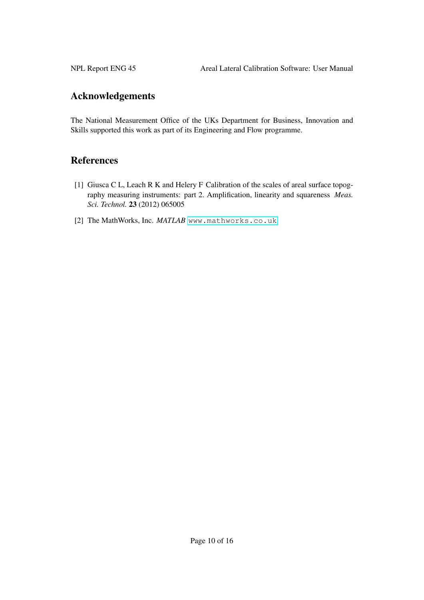# Acknowledgements

<span id="page-15-1"></span><span id="page-15-0"></span>The National Measurement Office of the UKs Department for Business, Innovation and Skills supported this work as part of its Engineering and Flow programme.

## References

- <span id="page-15-2"></span>[1] Giusca C L, Leach R K and Helery F Calibration of the scales of areal surface topography measuring instruments: part 2. Amplification, linearity and squareness *Meas. Sci. Technol.* 23 (2012) 065005
- <span id="page-15-3"></span>[2] The MathWorks, Inc. *MATLAB* <www.mathworks.co.uk>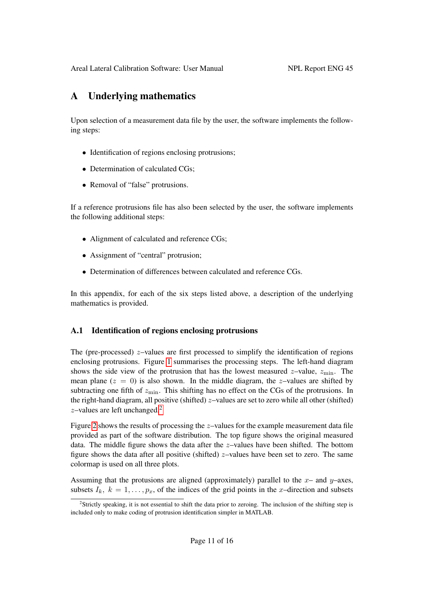# <span id="page-16-0"></span>A Underlying mathematics

Upon selection of a measurement data file by the user, the software implements the following steps:

- Identification of regions enclosing protrusions;
- Determination of calculated CGs:
- Removal of "false" protrusions.

If a reference protrusions file has also been selected by the user, the software implements the following additional steps:

- Alignment of calculated and reference CGs;
- Assignment of "central" protrusion;
- Determination of differences between calculated and reference CGs.

In this appendix, for each of the six steps listed above, a description of the underlying mathematics is provided.

#### <span id="page-16-1"></span>A.1 Identification of regions enclosing protrusions

The (pre-processed)  $z$ -values are first processed to simplify the identification of regions enclosing protrusions. Figure [1](#page-17-0) summarises the processing steps. The left-hand diagram shows the side view of the protrusion that has the lowest measured  $z$ –value,  $z_{\rm min}$ . The mean plane ( $z = 0$ ) is also shown. In the middle diagram, the z–values are shifted by subtracting one fifth of  $z_{\rm min}$ . This shifting has no effect on the CGs of the protrusions. In the right-hand diagram, all positive (shifted) z–values are set to zero while all other (shifted)  $z$ -values are left unchanged.<sup>[2](#page-16-2)</sup>

Figure [2](#page-18-0) shows the results of processing the  $z$ -values for the example measurement data file provided as part of the software distribution. The top figure shows the original measured data. The middle figure shows the data after the  $z$ -values have been shifted. The bottom figure shows the data after all positive (shifted)  $z$ -values have been set to zero. The same colormap is used on all three plots.

Assuming that the protusions are aligned (approximately) parallel to the  $x-$  and  $y-$ axes, subsets  $I_k$ ,  $k = 1, \ldots, p_x$ , of the indices of the grid points in the x-direction and subsets

<span id="page-16-2"></span><sup>&</sup>lt;sup>2</sup>Strictly speaking, it is not essential to shift the data prior to zeroing. The inclusion of the shifting step is included only to make coding of protrusion identification simpler in MATLAB.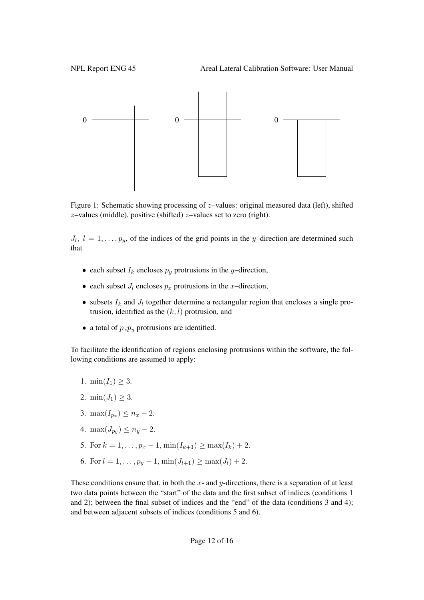

<span id="page-17-0"></span>Figure 1: Schematic showing processing of  $z$ –values: original measured data (left), shifted  $z$ -values (middle), positive (shifted)  $z$ -values set to zero (right).

 $J_l$ ,  $l = 1, \ldots, p_y$ , of the indices of the grid points in the y-direction are determined such that

- each subset  $I_k$  encloses  $p_y$  protrusions in the y-direction,
- each subset  $J_l$  encloses  $p_x$  protrusions in the x-direction,
- subsets  $I_k$  and  $J_l$  together determine a rectangular region that encloses a single protrusion, identified as the  $(k, l)$  protrusion, and
- a total of  $p_xp_y$  protrusions are identified.

To facilitate the identification of regions enclosing protrusions within the software, the following conditions are assumed to apply:

- 1. min $(I_1) \geq 3$ .
- 2. min $(J_1) \geq 3$ .
- 3. max $(I_{p_x}) \leq n_x 2$ .
- 4. max $(J_{p_y}) \leq n_y 2$ .
- 5. For  $k = 1, \ldots, p_x 1$ ,  $\min(I_{k+1}) \ge \max(I_k) + 2$ .
- 6. For  $l = 1, \ldots, p_y 1$ ,  $\min(J_{l+1}) \ge \max(J_l) + 2$ .

These conditions ensure that, in both the  $x$ - and  $y$ -directions, there is a separation of at least two data points between the "start" of the data and the first subset of indices (conditions 1 and 2); between the final subset of indices and the "end" of the data (conditions 3 and 4); and between adjacent subsets of indices (conditions 5 and 6).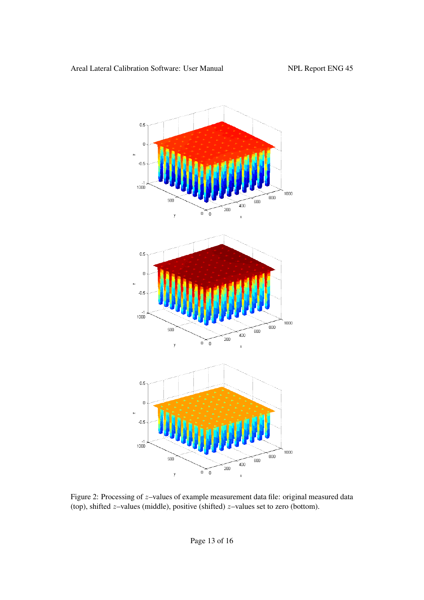

<span id="page-18-0"></span>Figure 2: Processing of z–values of example measurement data file: original measured data (top), shifted  $z$ -values (middle), positive (shifted)  $z$ -values set to zero (bottom).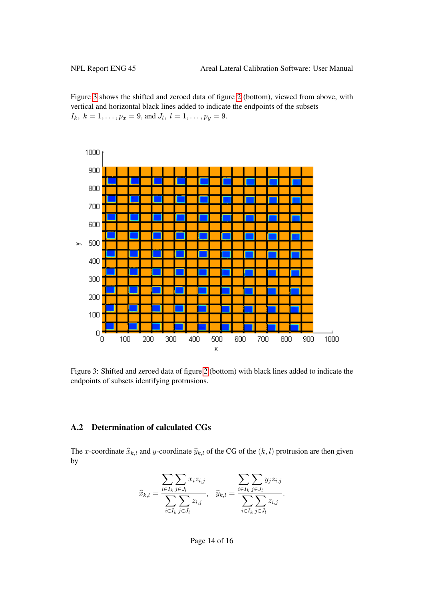Figure [3](#page-19-1) shows the shifted and zeroed data of figure [2](#page-18-0) (bottom), viewed from above, with vertical and horizontal black lines added to indicate the endpoints of the subsets  $I_k, k = 1, \ldots, p_x = 9$ , and  $J_l, l = 1, \ldots, p_y = 9$ .



<span id="page-19-1"></span>Figure 3: Shifted and zeroed data of figure [2](#page-18-0) (bottom) with black lines added to indicate the endpoints of subsets identifying protrusions.

#### <span id="page-19-0"></span>A.2 Determination of calculated CGs

The x-coordinate  $\hat{x}_{k,l}$  and y-coordinate  $\hat{y}_{k,l}$  of the CG of the  $(k, l)$  protrusion are then given by

$$
\widehat{x}_{k,l} = \frac{\sum_{i \in I_k} \sum_{j \in J_l} x_i z_{i,j}}{\sum_{i \in I_k} \sum_{j \in J_l} z_{i,j}}, \quad \widehat{y}_{k,l} = \frac{\sum_{i \in I_k} \sum_{j \in J_l} y_j z_{i,j}}{\sum_{i \in I_k} \sum_{j \in J_l} z_{i,j}}.
$$

Page 14 of 16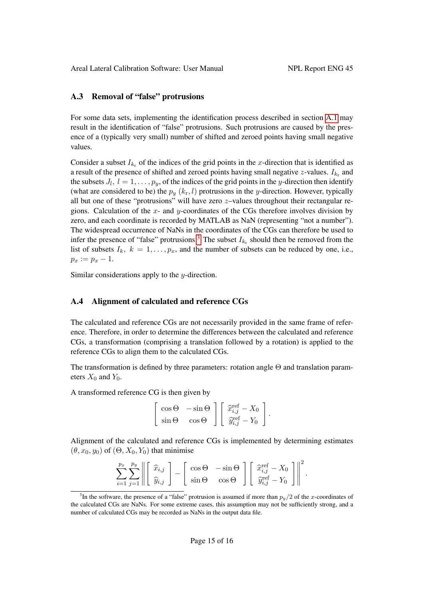#### <span id="page-20-0"></span>A.3 Removal of "false" protrusions

For some data sets, implementing the identification process described in section [A.1](#page-16-1) may result in the identification of "false" protrusions. Such protrusions are caused by the presence of a (typically very small) number of shifted and zeroed points having small negative values.

Consider a subset  $I_{k_r}$  of the indices of the grid points in the x-direction that is identified as a result of the presence of shifted and zeroed points having small negative z-values.  $I_{k_r}$  and the subsets  $J_l$ ,  $l = 1, \ldots, p_y$ , of the indices of the grid points in the y-direction then identify (what are considered to be) the  $p_y(k_r, l)$  protrusions in the y-direction. However, typically all but one of these "protrusions" will have zero  $z$ -values throughout their rectangular regions. Calculation of the  $x$ - and  $y$ -coordinates of the CGs therefore involves division by zero, and each coordinate is recorded by MATLAB as NaN (representing "not a number"). The widespread occurrence of NaNs in the coordinates of the CGs can therefore be used to infer the presence of "false" protrusions.<sup>[3](#page-20-2)</sup> The subset  $I_{k_r}$  should then be removed from the list of subsets  $I_k$ ,  $k = 1, \ldots, p_x$ , and the number of subsets can be reduced by one, i.e.,  $p_x := p_x - 1.$ 

Similar considerations apply to the y-direction.

#### <span id="page-20-1"></span>A.4 Alignment of calculated and reference CGs

The calculated and reference CGs are not necessarily provided in the same frame of reference. Therefore, in order to determine the differences between the calculated and reference CGs, a transformation (comprising a translation followed by a rotation) is applied to the reference CGs to align them to the calculated CGs.

The transformation is defined by three parameters: rotation angle Θ and translation parameters  $X_0$  and  $Y_0$ .

A transformed reference CG is then given by

$$
\left[\begin{array}{cc} \cos \Theta & -\sin \Theta \\ \sin \Theta & \cos \Theta \end{array}\right] \left[\begin{array}{c} \hat{x}_{i,j}^{\text{ref}} - X_0 \\ \hat{y}_{i,j}^{\text{ref}} - Y_0 \end{array}\right].
$$

Alignment of the calculated and reference CGs is implemented by determining estimates  $(\theta, x_0, y_0)$  of  $(\Theta, X_0, Y_0)$  that minimise

$$
\sum_{i=1}^{p_x} \sum_{j=1}^{p_y} \left\| \begin{bmatrix} \widehat{x}_{i,j} \\ \widehat{y}_{i,j} \end{bmatrix} - \begin{bmatrix} \cos \Theta & -\sin \Theta \\ \sin \Theta & \cos \Theta \end{bmatrix} \begin{bmatrix} \widehat{x}_{i,j}^{\text{ref}} - X_0 \\ \widehat{y}_{i,j}^{\text{ref}} - Y_0 \end{bmatrix} \right\|^2.
$$

<span id="page-20-2"></span><sup>&</sup>lt;sup>3</sup>In the software, the presence of a "false" protrusion is assumed if more than  $p_y/2$  of the x-coordinates of the calculated CGs are NaNs. For some extreme cases, this assumption may not be sufficiently strong, and a number of calculated CGs may be recorded as NaNs in the output data file.